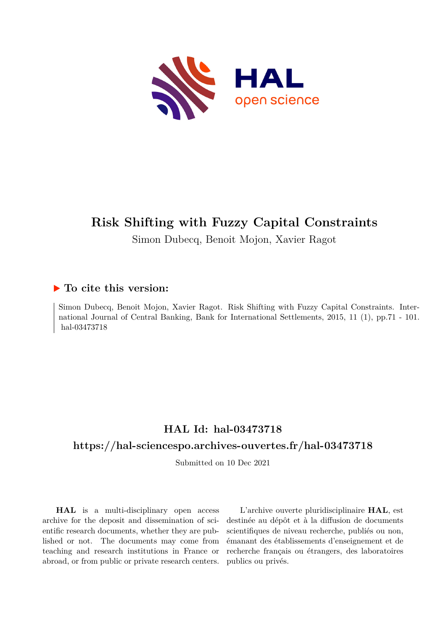

# **Risk Shifting with Fuzzy Capital Constraints**

Simon Dubecq, Benoit Mojon, Xavier Ragot

## **To cite this version:**

Simon Dubecq, Benoit Mojon, Xavier Ragot. Risk Shifting with Fuzzy Capital Constraints. International Journal of Central Banking, Bank for International Settlements, 2015, 11 (1), pp.71 - 101. hal-03473718

## **HAL Id: hal-03473718**

## **<https://hal-sciencespo.archives-ouvertes.fr/hal-03473718>**

Submitted on 10 Dec 2021

**HAL** is a multi-disciplinary open access archive for the deposit and dissemination of scientific research documents, whether they are published or not. The documents may come from teaching and research institutions in France or abroad, or from public or private research centers.

L'archive ouverte pluridisciplinaire **HAL**, est destinée au dépôt et à la diffusion de documents scientifiques de niveau recherche, publiés ou non, émanant des établissements d'enseignement et de recherche français ou étrangers, des laboratoires publics ou privés.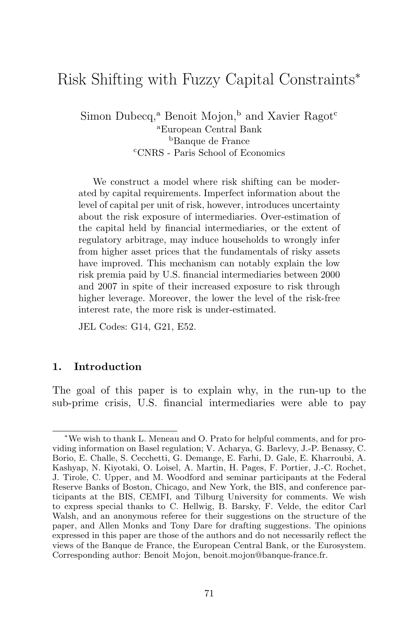## Risk Shifting with Fuzzy Capital Constraints<sup>∗</sup>

Simon Dubecq,<sup>a</sup> Benoit Mojon,<sup>b</sup> and Xavier Ragot<sup>c</sup> <sup>a</sup>European Central Bank <sup>b</sup>Banque de France <sup>c</sup>CNRS - Paris School of Economics

We construct a model where risk shifting can be moderated by capital requirements. Imperfect information about the level of capital per unit of risk, however, introduces uncertainty about the risk exposure of intermediaries. Over-estimation of the capital held by financial intermediaries, or the extent of regulatory arbitrage, may induce households to wrongly infer from higher asset prices that the fundamentals of risky assets have improved. This mechanism can notably explain the low risk premia paid by U.S. financial intermediaries between 2000 and 2007 in spite of their increased exposure to risk through higher leverage. Moreover, the lower the level of the risk-free interest rate, the more risk is under-estimated.

JEL Codes: G14, G21, E52.

#### **1. Introduction**

The goal of this paper is to explain why, in the run-up to the sub-prime crisis, U.S. financial intermediaries were able to pay

<sup>∗</sup>We wish to thank L. Meneau and O. Prato for helpful comments, and for providing information on Basel regulation; V. Acharya, G. Barlevy, J.-P. Benassy, C. Borio, E. Challe, S. Cecchetti, G. Demange, E. Farhi, D. Gale, E. Kharroubi, A. Kashyap, N. Kiyotaki, O. Loisel, A. Martin, H. Pages, F. Portier, J.-C. Rochet, J. Tirole, C. Upper, and M. Woodford and seminar participants at the Federal Reserve Banks of Boston, Chicago, and New York, the BIS, and conference participants at the BIS, CEMFI, and Tilburg University for comments. We wish to express special thanks to C. Hellwig, B. Barsky, F. Velde, the editor Carl Walsh, and an anonymous referee for their suggestions on the structure of the paper, and Allen Monks and Tony Dare for drafting suggestions. The opinions expressed in this paper are those of the authors and do not necessarily reflect the views of the Banque de France, the European Central Bank, or the Eurosystem. Corresponding author: Benoit Mojon, benoit.mojon@banque-france.fr.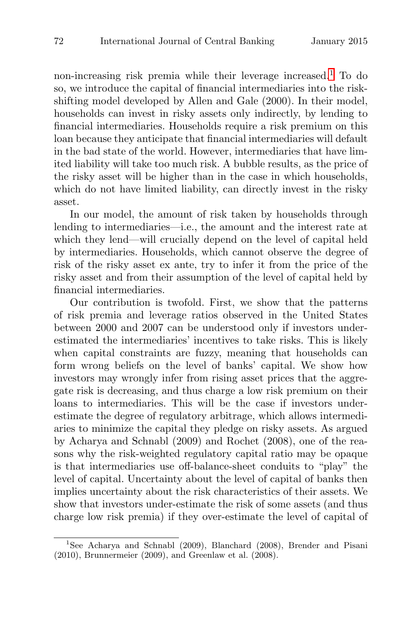non-increasing risk premia while their leverage increased.<sup>1</sup> To do so, we introduce the capital of financial intermediaries into the riskshifting model developed by Allen and Gale (2000). In their model, households can invest in risky assets only indirectly, by lending to financial intermediaries. Households require a risk premium on this loan because they anticipate that financial intermediaries will default in the bad state of the world. However, intermediaries that have limited liability will take too much risk. A bubble results, as the price of the risky asset will be higher than in the case in which households, which do not have limited liability, can directly invest in the risky asset.

In our model, the amount of risk taken by households through lending to intermediaries—i.e., the amount and the interest rate at which they lend—will crucially depend on the level of capital held by intermediaries. Households, which cannot observe the degree of risk of the risky asset ex ante, try to infer it from the price of the risky asset and from their assumption of the level of capital held by financial intermediaries.

Our contribution is twofold. First, we show that the patterns of risk premia and leverage ratios observed in the United States between 2000 and 2007 can be understood only if investors underestimated the intermediaries' incentives to take risks. This is likely when capital constraints are fuzzy, meaning that households can form wrong beliefs on the level of banks' capital. We show how investors may wrongly infer from rising asset prices that the aggregate risk is decreasing, and thus charge a low risk premium on their loans to intermediaries. This will be the case if investors underestimate the degree of regulatory arbitrage, which allows intermediaries to minimize the capital they pledge on risky assets. As argued by Acharya and Schnabl (2009) and Rochet (2008), one of the reasons why the risk-weighted regulatory capital ratio may be opaque is that intermediaries use off-balance-sheet conduits to "play" the level of capital. Uncertainty about the level of capital of banks then implies uncertainty about the risk characteristics of their assets. We show that investors under-estimate the risk of some assets (and thus charge low risk premia) if they over-estimate the level of capital of

<sup>&</sup>lt;sup>1</sup>See Acharya and Schnabl (2009), Blanchard (2008), Brender and Pisani (2010), Brunnermeier (2009), and Greenlaw et al. (2008).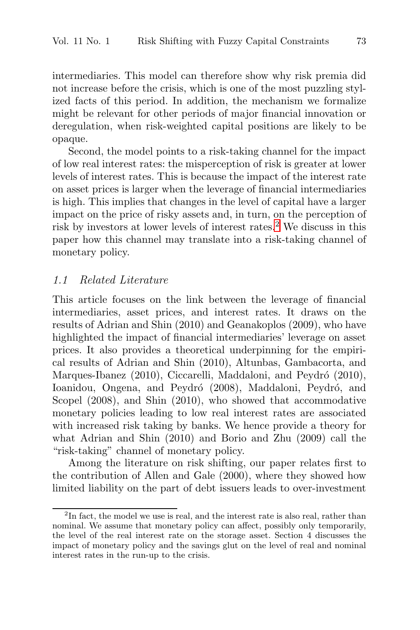intermediaries. This model can therefore show why risk premia did not increase before the crisis, which is one of the most puzzling stylized facts of this period. In addition, the mechanism we formalize might be relevant for other periods of major financial innovation or deregulation, when risk-weighted capital positions are likely to be opaque.

Second, the model points to a risk-taking channel for the impact of low real interest rates: the misperception of risk is greater at lower levels of interest rates. This is because the impact of the interest rate on asset prices is larger when the leverage of financial intermediaries is high. This implies that changes in the level of capital have a larger impact on the price of risky assets and, in turn, on the perception of risk by investors at lower levels of interest rates.<sup>2</sup> We discuss in this paper how this channel may translate into a risk-taking channel of monetary policy.

#### 1.1 Related Literature

This article focuses on the link between the leverage of financial intermediaries, asset prices, and interest rates. It draws on the results of Adrian and Shin (2010) and Geanakoplos (2009), who have highlighted the impact of financial intermediaries' leverage on asset prices. It also provides a theoretical underpinning for the empirical results of Adrian and Shin (2010), Altunbas, Gambacorta, and Marques-Ibanez (2010), Ciccarelli, Maddaloni, and Peydró (2010), Ioanidou, Ongena, and Peydró (2008), Maddaloni, Peydró, and Scopel (2008), and Shin (2010), who showed that accommodative monetary policies leading to low real interest rates are associated with increased risk taking by banks. We hence provide a theory for what Adrian and Shin (2010) and Borio and Zhu (2009) call the "risk-taking" channel of monetary policy.

Among the literature on risk shifting, our paper relates first to the contribution of Allen and Gale (2000), where they showed how limited liability on the part of debt issuers leads to over-investment

<sup>&</sup>lt;sup>2</sup>In fact, the model we use is real, and the interest rate is also real, rather than nominal. We assume that monetary policy can affect, possibly only temporarily, the level of the real interest rate on the storage asset. Section 4 discusses the impact of monetary policy and the savings glut on the level of real and nominal interest rates in the run-up to the crisis.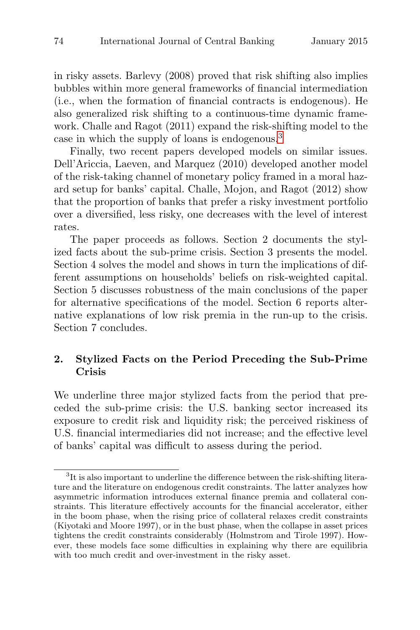in risky assets. Barlevy (2008) proved that risk shifting also implies bubbles within more general frameworks of financial intermediation (i.e., when the formation of financial contracts is endogenous). He also generalized risk shifting to a continuous-time dynamic framework. Challe and Ragot (2011) expand the risk-shifting model to the case in which the supply of loans is endogenous.<sup>3</sup>

Finally, two recent papers developed models on similar issues. Dell'Ariccia, Laeven, and Marquez (2010) developed another model of the risk-taking channel of monetary policy framed in a moral hazard setup for banks' capital. Challe, Mojon, and Ragot (2012) show that the proportion of banks that prefer a risky investment portfolio over a diversified, less risky, one decreases with the level of interest rates.

The paper proceeds as follows. Section 2 documents the stylized facts about the sub-prime crisis. Section 3 presents the model. Section 4 solves the model and shows in turn the implications of different assumptions on households' beliefs on risk-weighted capital. Section 5 discusses robustness of the main conclusions of the paper for alternative specifications of the model. Section 6 reports alternative explanations of low risk premia in the run-up to the crisis. Section 7 concludes.

### **2. Stylized Facts on the Period Preceding the Sub-Prime Crisis**

We underline three major stylized facts from the period that preceded the sub-prime crisis: the U.S. banking sector increased its exposure to credit risk and liquidity risk; the perceived riskiness of U.S. financial intermediaries did not increase; and the effective level of banks' capital was difficult to assess during the period.

<sup>3</sup>It is also important to underline the difference between the risk-shifting literature and the literature on endogenous credit constraints. The latter analyzes how asymmetric information introduces external finance premia and collateral constraints. This literature effectively accounts for the financial accelerator, either in the boom phase, when the rising price of collateral relaxes credit constraints (Kiyotaki and Moore 1997), or in the bust phase, when the collapse in asset prices tightens the credit constraints considerably (Holmstrom and Tirole 1997). However, these models face some difficulties in explaining why there are equilibria with too much credit and over-investment in the risky asset.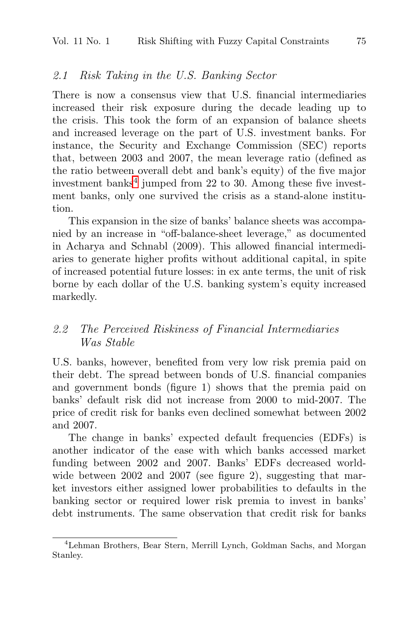#### 2.1 Risk Taking in the U.S. Banking Sector

There is now a consensus view that U.S. financial intermediaries increased their risk exposure during the decade leading up to the crisis. This took the form of an expansion of balance sheets and increased leverage on the part of U.S. investment banks. For instance, the Security and Exchange Commission (SEC) reports that, between 2003 and 2007, the mean leverage ratio (defined as the ratio between overall debt and bank's equity) of the five major investment banks $4$  jumped from 22 to 30. Among these five investment banks, only one survived the crisis as a stand-alone institution.

This expansion in the size of banks' balance sheets was accompanied by an increase in "off-balance-sheet leverage," as documented in Acharya and Schnabl (2009). This allowed financial intermediaries to generate higher profits without additional capital, in spite of increased potential future losses: in ex ante terms, the unit of risk borne by each dollar of the U.S. banking system's equity increased markedly.

## 2.2 The Perceived Riskiness of Financial Intermediaries Was Stable

U.S. banks, however, benefited from very low risk premia paid on their debt. The spread between bonds of U.S. financial companies and government bonds (figure 1) shows that the premia paid on banks' default risk did not increase from 2000 to mid-2007. The price of credit risk for banks even declined somewhat between 2002 and 2007.

The change in banks' expected default frequencies (EDFs) is another indicator of the ease with which banks accessed market funding between 2002 and 2007. Banks' EDFs decreased worldwide between 2002 and 2007 (see figure 2), suggesting that market investors either assigned lower probabilities to defaults in the banking sector or required lower risk premia to invest in banks' debt instruments. The same observation that credit risk for banks

<sup>4</sup>Lehman Brothers, Bear Stern, Merrill Lynch, Goldman Sachs, and Morgan Stanley.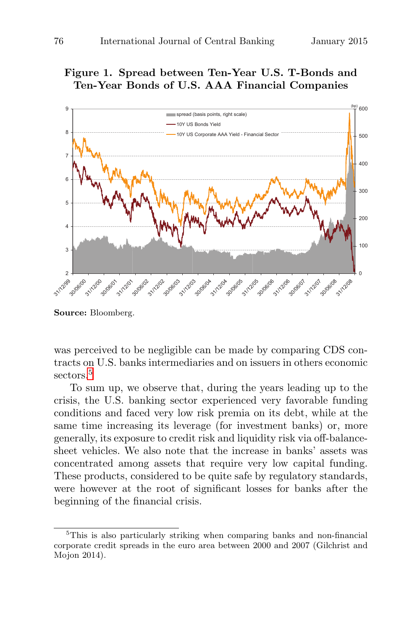## **Figure 1. Spread between Ten-Year U.S. T-Bonds and Ten-Year Bonds of U.S. AAA Financial Companies**



**Source:** Bloomberg.

was perceived to be negligible can be made by comparing CDS contracts on U.S. banks intermediaries and on issuers in others economic sectors.<sup>5</sup>

To sum up, we observe that, during the years leading up to the crisis, the U.S. banking sector experienced very favorable funding conditions and faced very low risk premia on its debt, while at the same time increasing its leverage (for investment banks) or, more generally, its exposure to credit risk and liquidity risk via off-balancesheet vehicles. We also note that the increase in banks' assets was concentrated among assets that require very low capital funding. These products, considered to be quite safe by regulatory standards, were however at the root of significant losses for banks after the beginning of the financial crisis.

<sup>5</sup>This is also particularly striking when comparing banks and non-financial corporate credit spreads in the euro area between 2000 and 2007 (Gilchrist and Mojon 2014).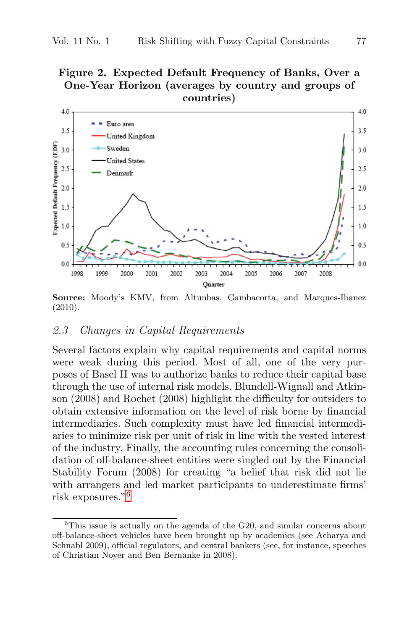## **Figure 2. Expected Default Frequency of Banks, Over a One-Year Horizon (averages by country and groups of countries)**



**Source:** Moody's KMV, from Altunbas, Gambacorta, and Marques-Ibanez (2010).

#### 2.3 Changes in Capital Requirements

Several factors explain why capital requirements and capital norms were weak during this period. Most of all, one of the very purposes of Basel II was to authorize banks to reduce their capital base through the use of internal risk models. Blundell-Wignall and Atkinson (2008) and Rochet (2008) highlight the difficulty for outsiders to obtain extensive information on the level of risk borne by financial intermediaries. Such complexity must have led financial intermediaries to minimize risk per unit of risk in line with the vested interest of the industry. Finally, the accounting rules concerning the consolidation of off-balance-sheet entities were singled out by the Financial Stability Forum (2008) for creating "a belief that risk did not lie with arrangers and led market participants to underestimate firms' risk exposures."<sup>6</sup>

 ${}^{6}$ This issue is actually on the agenda of the G20, and similar concerns about off-balance-sheet vehicles have been brought up by academics (see Acharya and Schnabl 2009), official regulators, and central bankers (see, for instance, speeches of Christian Noyer and Ben Bernanke in 2008).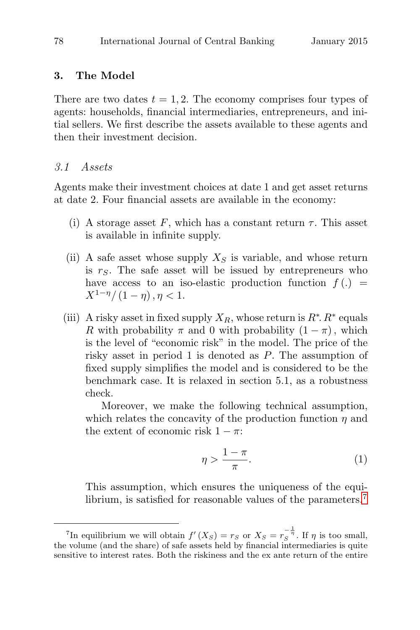#### **3. The Model**

There are two dates  $t = 1, 2$ . The economy comprises four types of agents: households, financial intermediaries, entrepreneurs, and initial sellers. We first describe the assets available to these agents and then their investment decision.

#### 3.1 Assets

Agents make their investment choices at date 1 and get asset returns at date 2. Four financial assets are available in the economy:

- (i) A storage asset F, which has a constant return  $\tau$ . This asset is available in infinite supply.
- (ii) A safe asset whose supply  $X<sub>S</sub>$  is variable, and whose return is  $r<sub>S</sub>$ . The safe asset will be issued by entrepreneurs who have access to an iso-elastic production function  $f(.) =$  $X^{1-\eta}/(1-\eta)$ ,  $\eta < 1$ .
- (iii) A risky asset in fixed supply  $X_R$ , whose return is  $R^*$ .  $R^*$  equals R with probability  $\pi$  and 0 with probability  $(1 - \pi)$ , which is the level of "economic risk" in the model. The price of the risky asset in period 1 is denoted as P. The assumption of fixed supply simplifies the model and is considered to be the benchmark case. It is relaxed in section 5.1, as a robustness check.

Moreover, we make the following technical assumption, which relates the concavity of the production function  $\eta$  and the extent of economic risk  $1 - \pi$ :

$$
\eta > \frac{1-\pi}{\pi}.\tag{1}
$$

This assumption, which ensures the uniqueness of the equilibrium, is satisfied for reasonable values of the parameters.<sup>7</sup>

<sup>&</sup>lt;sup>7</sup>In equilibrium we will obtain  $f'(X_S) = r_S$  or  $X_S = r_S^{-\frac{1}{\eta}}$ . If  $\eta$  is too small, the volume (and the share) of safe assets held by financial intermediaries is quite sensitive to interest rates. Both the riskiness and the ex ante return of the entire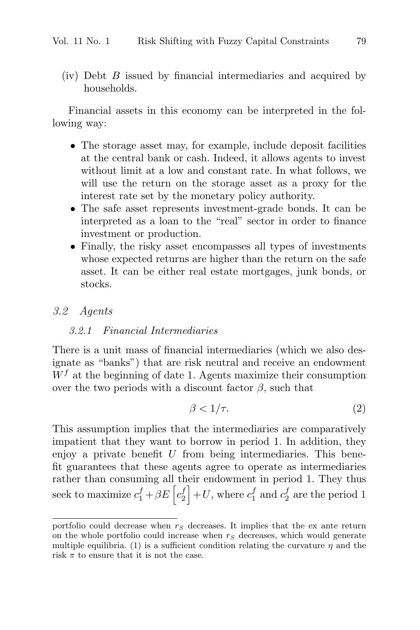(iv) Debt B issued by financial intermediaries and acquired by households.

Financial assets in this economy can be interpreted in the following way:

- The storage asset may, for example, include deposit facilities at the central bank or cash. Indeed, it allows agents to invest without limit at a low and constant rate. In what follows, we will use the return on the storage asset as a proxy for the interest rate set by the monetary policy authority.
- The safe asset represents investment-grade bonds. It can be interpreted as a loan to the "real" sector in order to finance investment or production.
- Finally, the risky asset encompasses all types of investments whose expected returns are higher than the return on the safe asset. It can be either real estate mortgages, junk bonds, or stocks.

#### 3.2 Agents

#### 3.2.1 Financial Intermediaries

There is a unit mass of financial intermediaries (which we also designate as "banks") that are risk neutral and receive an endowment  $W<sup>f</sup>$  at the beginning of date 1. Agents maximize their consumption over the two periods with a discount factor  $\beta$ , such that

$$
\beta < 1/\tau. \tag{2}
$$

This assumption implies that the intermediaries are comparatively impatient that they want to borrow in period 1. In addition, they enjoy a private benefit  $U$  from being intermediaries. This benefit guarantees that these agents agree to operate as intermediaries rather than consuming all their endowment in period 1. They thus seek to maximize  $c_1^f + \beta E \left[ c_2^f \right]$  $\binom{f}{2} + U$ , where  $c_1^f$  and  $c_2^f$  are the period 1

portfolio could decrease when  $r<sub>S</sub>$  decreases. It implies that the ex ante return on the whole portfolio could increase when  $r_S$  decreases, which would generate multiple equilibria. (1) is a sufficient condition relating the curvature  $\eta$  and the risk  $\pi$  to ensure that it is not the case.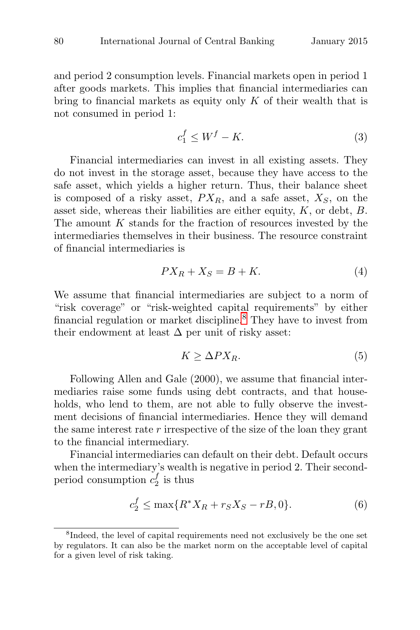and period 2 consumption levels. Financial markets open in period 1 after goods markets. This implies that financial intermediaries can bring to financial markets as equity only  $K$  of their wealth that is not consumed in period 1:

$$
c_1^f \le W^f - K. \tag{3}
$$

Financial intermediaries can invest in all existing assets. They do not invest in the storage asset, because they have access to the safe asset, which yields a higher return. Thus, their balance sheet is composed of a risky asset,  $PX_R$ , and a safe asset,  $X_S$ , on the asset side, whereas their liabilities are either equity,  $K$ , or debt,  $B$ . The amount  $K$  stands for the fraction of resources invested by the intermediaries themselves in their business. The resource constraint of financial intermediaries is

$$
PX_R + X_S = B + K.\t\t(4)
$$

We assume that financial intermediaries are subject to a norm of "risk coverage" or "risk-weighted capital requirements" by either financial regulation or market discipline.<sup>8</sup> They have to invest from their endowment at least  $\Delta$  per unit of risky asset:

$$
K \ge \Delta PX_R. \tag{5}
$$

Following Allen and Gale (2000), we assume that financial intermediaries raise some funds using debt contracts, and that households, who lend to them, are not able to fully observe the investment decisions of financial intermediaries. Hence they will demand the same interest rate  $r$  irrespective of the size of the loan they grant to the financial intermediary.

Financial intermediaries can default on their debt. Default occurs when the intermediary's wealth is negative in period 2. Their secondperiod consumption  $c_2^f$  is thus

$$
c_2^f \le \max\{R^*X_R + r_SX_S - rB, 0\}.\tag{6}
$$

<sup>8</sup>Indeed, the level of capital requirements need not exclusively be the one set by regulators. It can also be the market norm on the acceptable level of capital for a given level of risk taking.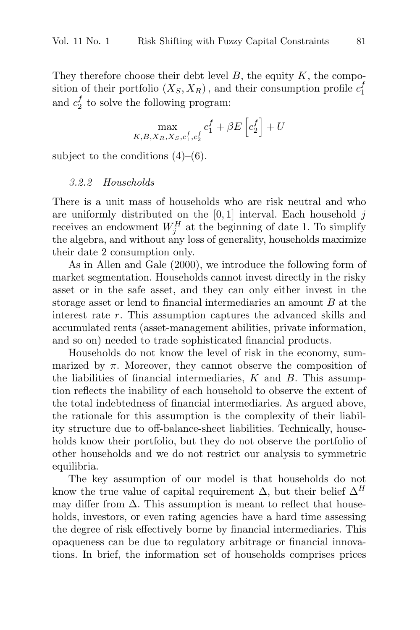They therefore choose their debt level  $B$ , the equity  $K$ , the composition of their portfolio  $(X_S, X_R)$ , and their consumption profile  $c_1^f$ 1 and  $c_2^f$  to solve the following program:

$$
\max_{K,B,X_R,X_S,c_1^f,c_2^f} c_1^f + \beta E\left[c_2^f\right] + U
$$

subject to the conditions  $(4)$ – $(6)$ .

#### 3.2.2 Households

There is a unit mass of households who are risk neutral and who are uniformly distributed on the  $[0, 1]$  interval. Each household j receives an endowment  $W_j^H$  at the beginning of date 1. To simplify the algebra, and without any loss of generality, households maximize their date 2 consumption only.

As in Allen and Gale (2000), we introduce the following form of market segmentation. Households cannot invest directly in the risky asset or in the safe asset, and they can only either invest in the storage asset or lend to financial intermediaries an amount B at the interest rate r. This assumption captures the advanced skills and accumulated rents (asset-management abilities, private information, and so on) needed to trade sophisticated financial products.

Households do not know the level of risk in the economy, summarized by  $\pi$ . Moreover, they cannot observe the composition of the liabilities of financial intermediaries,  $K$  and  $B$ . This assumption reflects the inability of each household to observe the extent of the total indebtedness of financial intermediaries. As argued above, the rationale for this assumption is the complexity of their liability structure due to off-balance-sheet liabilities. Technically, households know their portfolio, but they do not observe the portfolio of other households and we do not restrict our analysis to symmetric equilibria.

The key assumption of our model is that households do not know the true value of capital requirement  $\Delta$ , but their belief  $\Delta^H$ may differ from  $\Delta$ . This assumption is meant to reflect that households, investors, or even rating agencies have a hard time assessing the degree of risk effectively borne by financial intermediaries. This opaqueness can be due to regulatory arbitrage or financial innovations. In brief, the information set of households comprises prices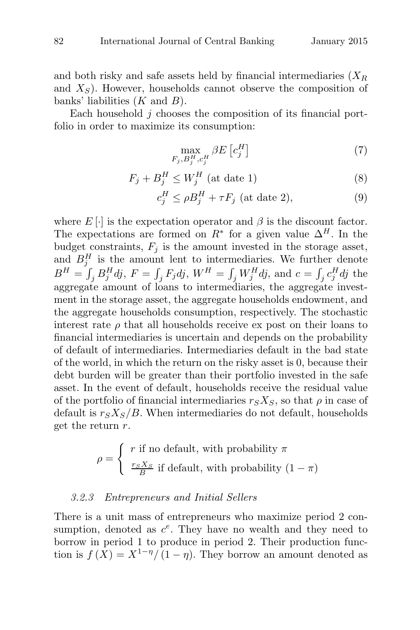and both risky and safe assets held by financial intermediaries  $(X_R)$ and  $X<sub>S</sub>$ ). However, households cannot observe the composition of banks' liabilities  $(K \text{ and } B)$ .

Each household j chooses the composition of its financial portfolio in order to maximize its consumption:

$$
\max_{F_j, B_j^H, c_j^H} \beta E\left[c_j^H\right] \tag{7}
$$

$$
F_j + B_j^H \le W_j^H \text{ (at date 1)}
$$
 (8)

$$
c_j^H \le \rho B_j^H + \tau F_j \text{ (at date 2)},\tag{9}
$$

where  $E[\cdot]$  is the expectation operator and  $\beta$  is the discount factor. The expectations are formed on  $R^*$  for a given value  $\Delta^H$ . In the budget constraints,  $F_i$  is the amount invested in the storage asset, and  $B_j^H$  is the amount lent to intermediaries. We further denote  $B^H = \int_j B_j^H dj$ ,  $F = \int_j F_j dj$ ,  $W^H = \int_j W_j^H dj$ , and  $c = \int_j c_j^H dj$  the aggregate amount of loans to intermediaries, the aggregate investment in the storage asset, the aggregate households endowment, and the aggregate households consumption, respectively. The stochastic interest rate  $\rho$  that all households receive ex post on their loans to financial intermediaries is uncertain and depends on the probability of default of intermediaries. Intermediaries default in the bad state of the world, in which the return on the risky asset is 0, because their debt burden will be greater than their portfolio invested in the safe asset. In the event of default, households receive the residual value of the portfolio of financial intermediaries  $r_S X_S$ , so that  $\rho$  in case of default is  $r_S X_S/B$ . When intermediaries do not default, households get the return  $r$ .

$$
\rho = \begin{cases} r \text{ if no default, with probability } \pi \\ \frac{r_S X_S}{B} \text{ if default, with probability } (1 - \pi) \end{cases}
$$

#### 3.2.3 Entrepreneurs and Initial Sellers

There is a unit mass of entrepreneurs who maximize period 2 consumption, denoted as  $c^e$ . They have no wealth and they need to borrow in period 1 to produce in period 2. Their production function is  $f(X) = X^{1-\eta}/(1-\eta)$ . They borrow an amount denoted as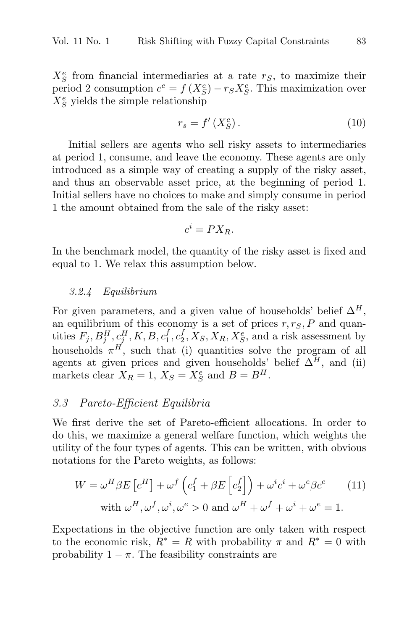$X_S^e$  from financial intermediaries at a rate  $r_S$ , to maximize their period 2 consumption  $c^e = f(X_S^e) - r_S X_S^e$ . This maximization over  $X_S^e$  yields the simple relationship

$$
r_s = f'(X_S^e). \tag{10}
$$

Initial sellers are agents who sell risky assets to intermediaries at period 1, consume, and leave the economy. These agents are only introduced as a simple way of creating a supply of the risky asset, and thus an observable asset price, at the beginning of period 1. Initial sellers have no choices to make and simply consume in period 1 the amount obtained from the sale of the risky asset:

$$
c^i = PX_R.
$$

In the benchmark model, the quantity of the risky asset is fixed and equal to 1. We relax this assumption below.

#### 3.2.4 Equilibrium

For given parameters, and a given value of households' belief  $\Delta^H$ , an equilibrium of this economy is a set of prices  $r, r<sub>S</sub>, P$  and quantities  $F_j$ ,  $B_j^H$ ,  $c_j^H$ ,  $K, B, c_1^f$ ,  $c_2^f$ ,  $X_S$ ,  $X_R$ ,  $X_S^e$ , and a risk assessment by households  $\pi^H$ , such that (i) quantities solve the program of all agents at given prices and given households' belief  $\Delta^H$ , and (ii) markets clear  $X_R = 1$ ,  $X_S = X_S^e$  and  $B = B^H$ .

### 3.3 Pareto-Efficient Equilibria

We first derive the set of Pareto-efficient allocations. In order to do this, we maximize a general welfare function, which weights the utility of the four types of agents. This can be written, with obvious notations for the Pareto weights, as follows:

$$
W = \omega^H \beta E \left[ c^H \right] + \omega^f \left( c_1^f + \beta E \left[ c_2^f \right] \right) + \omega^i c^i + \omega^e \beta c^e \qquad (11)
$$
  
with  $\omega^H, \omega^f, \omega^i, \omega^e > 0$  and  $\omega^H + \omega^f + \omega^i + \omega^e = 1$ .

Expectations in the objective function are only taken with respect to the economic risk,  $R^* = R$  with probability  $\pi$  and  $R^* = 0$  with probability  $1 - \pi$ . The feasibility constraints are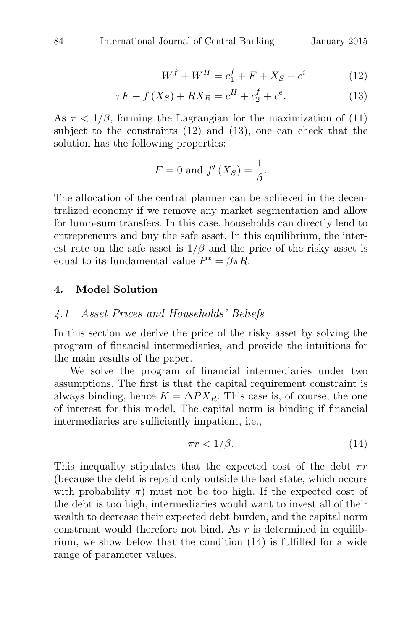$$
W^f + W^H = c_1^f + F + X_S + c^i \tag{12}
$$

$$
\tau F + f(X_S) + RX_R = c^H + c_2^f + c^e. \tag{13}
$$

As  $\tau$  < 1/ $\beta$ , forming the Lagrangian for the maximization of (11) subject to the constraints (12) and (13), one can check that the solution has the following properties:

$$
F = 0
$$
 and  $f'(X_S) = \frac{1}{\beta}$ .

The allocation of the central planner can be achieved in the decentralized economy if we remove any market segmentation and allow for lump-sum transfers. In this case, households can directly lend to entrepreneurs and buy the safe asset. In this equilibrium, the interest rate on the safe asset is  $1/\beta$  and the price of the risky asset is equal to its fundamental value  $P^* = \beta \pi R$ .

#### **4. Model Solution**

#### 4.1 Asset Prices and Households' Beliefs

In this section we derive the price of the risky asset by solving the program of financial intermediaries, and provide the intuitions for the main results of the paper.

We solve the program of financial intermediaries under two assumptions. The first is that the capital requirement constraint is always binding, hence  $K = \Delta P X_R$ . This case is, of course, the one of interest for this model. The capital norm is binding if financial intermediaries are sufficiently impatient, i.e.,

$$
\pi r < 1/\beta. \tag{14}
$$

This inequality stipulates that the expected cost of the debt  $\pi r$ (because the debt is repaid only outside the bad state, which occurs with probability  $\pi$ ) must not be too high. If the expected cost of the debt is too high, intermediaries would want to invest all of their wealth to decrease their expected debt burden, and the capital norm constraint would therefore not bind. As  $r$  is determined in equilibrium, we show below that the condition (14) is fulfilled for a wide range of parameter values.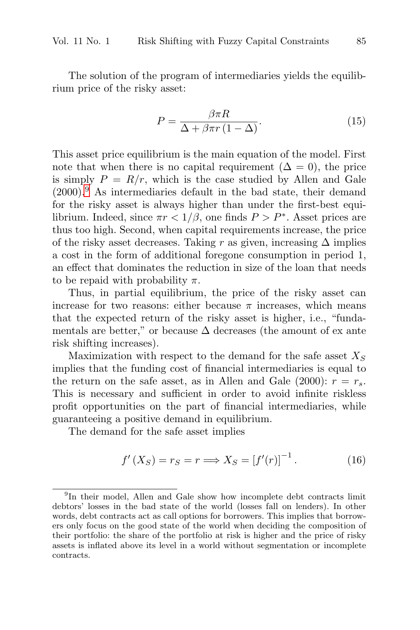The solution of the program of intermediaries yields the equilibrium price of the risky asset:

$$
P = \frac{\beta \pi R}{\Delta + \beta \pi r (1 - \Delta)}.
$$
 (15)

This asset price equilibrium is the main equation of the model. First note that when there is no capital requirement  $(\Delta = 0)$ , the price is simply  $P = R/r$ , which is the case studied by Allen and Gale  $(2000)$ <sup>9</sup> As intermediaries default in the bad state, their demand for the risky asset is always higher than under the first-best equilibrium. Indeed, since  $\pi r < 1/\beta$ , one finds  $P > P^*$ . Asset prices are thus too high. Second, when capital requirements increase, the price of the risky asset decreases. Taking r as given, increasing  $\Delta$  implies a cost in the form of additional foregone consumption in period 1, an effect that dominates the reduction in size of the loan that needs to be repaid with probability  $\pi$ .

Thus, in partial equilibrium, the price of the risky asset can increase for two reasons: either because  $\pi$  increases, which means that the expected return of the risky asset is higher, i.e., "fundamentals are better," or because  $\Delta$  decreases (the amount of ex ante risk shifting increases).

Maximization with respect to the demand for the safe asset  $X<sub>S</sub>$ implies that the funding cost of financial intermediaries is equal to the return on the safe asset, as in Allen and Gale (2000):  $r = r_s$ . This is necessary and sufficient in order to avoid infinite riskless profit opportunities on the part of financial intermediaries, while guaranteeing a positive demand in equilibrium.

The demand for the safe asset implies

$$
f'(X_S) = r_S = r \Longrightarrow X_S = [f'(r)]^{-1}.
$$
 (16)

<sup>&</sup>lt;sup>9</sup>In their model, Allen and Gale show how incomplete debt contracts limit debtors' losses in the bad state of the world (losses fall on lenders). In other words, debt contracts act as call options for borrowers. This implies that borrowers only focus on the good state of the world when deciding the composition of their portfolio: the share of the portfolio at risk is higher and the price of risky assets is inflated above its level in a world without segmentation or incomplete contracts.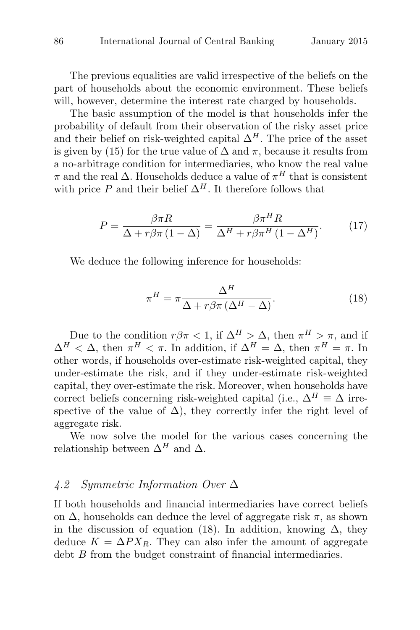The previous equalities are valid irrespective of the beliefs on the part of households about the economic environment. These beliefs will, however, determine the interest rate charged by households.

The basic assumption of the model is that households infer the probability of default from their observation of the risky asset price and their belief on risk-weighted capital  $\Delta^H$ . The price of the asset is given by (15) for the true value of  $\Delta$  and  $\pi$ , because it results from a no-arbitrage condition for intermediaries, who know the real value  $\pi$  and the real  $\Delta$ . Households deduce a value of  $\pi^{H}$  that is consistent with price P and their belief  $\Delta^H$ . It therefore follows that

$$
P = \frac{\beta \pi R}{\Delta + r \beta \pi (1 - \Delta)} = \frac{\beta \pi^H R}{\Delta^H + r \beta \pi^H (1 - \Delta^H)}.
$$
 (17)

We deduce the following inference for households:

$$
\pi^H = \pi \frac{\Delta^H}{\Delta + r\beta\pi \left(\Delta^H - \Delta\right)}.\tag{18}
$$

Due to the condition  $r\beta\pi < 1$ , if  $\Delta^H > \Delta$ , then  $\pi^H > \pi$ , and if  $\Delta^H < \Delta$ , then  $\pi^H < \pi$ . In addition, if  $\Delta^H = \Delta$ , then  $\pi^H = \pi$ . In other words, if households over-estimate risk-weighted capital, they under-estimate the risk, and if they under-estimate risk-weighted capital, they over-estimate the risk. Moreover, when households have correct beliefs concerning risk-weighted capital (i.e.,  $\Delta^H \equiv \Delta$  irrespective of the value of  $\Delta$ ), they correctly infer the right level of aggregate risk.

We now solve the model for the various cases concerning the relationship between  $\Delta^H$  and  $\Delta$ .

### 4.2 Symmetric Information Over Δ

If both households and financial intermediaries have correct beliefs on  $\Delta$ , households can deduce the level of aggregate risk  $\pi$ , as shown in the discussion of equation (18). In addition, knowing  $\Delta$ , they deduce  $K = \Delta P X_R$ . They can also infer the amount of aggregate debt B from the budget constraint of financial intermediaries.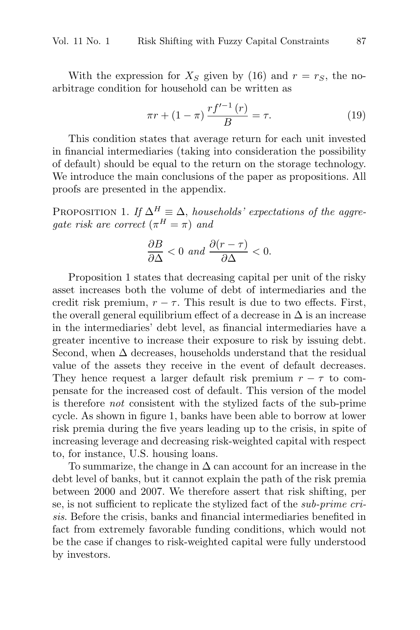With the expression for  $X_S$  given by (16) and  $r = r_S$ , the noarbitrage condition for household can be written as

$$
\pi r + (1 - \pi) \frac{r f'^{-1}(r)}{B} = \tau.
$$
 (19)

This condition states that average return for each unit invested in financial intermediaries (taking into consideration the possibility of default) should be equal to the return on the storage technology. We introduce the main conclusions of the paper as propositions. All proofs are presented in the appendix.

PROPOSITION 1. If  $\Delta^H \equiv \Delta$ , households' expectations of the aggregate risk are correct  $(\pi^H = \pi)$  and

$$
\frac{\partial B}{\partial \Delta} < 0 \text{ and } \frac{\partial (r - \tau)}{\partial \Delta} < 0.
$$

Proposition 1 states that decreasing capital per unit of the risky asset increases both the volume of debt of intermediaries and the credit risk premium,  $r - \tau$ . This result is due to two effects. First, the overall general equilibrium effect of a decrease in  $\Delta$  is an increase in the intermediaries' debt level, as financial intermediaries have a greater incentive to increase their exposure to risk by issuing debt. Second, when  $\Delta$  decreases, households understand that the residual value of the assets they receive in the event of default decreases. They hence request a larger default risk premium  $r - \tau$  to compensate for the increased cost of default. This version of the model is therefore not consistent with the stylized facts of the sub-prime cycle. As shown in figure 1, banks have been able to borrow at lower risk premia during the five years leading up to the crisis, in spite of increasing leverage and decreasing risk-weighted capital with respect to, for instance, U.S. housing loans.

To summarize, the change in  $\Delta$  can account for an increase in the debt level of banks, but it cannot explain the path of the risk premia between 2000 and 2007. We therefore assert that risk shifting, per se, is not sufficient to replicate the stylized fact of the sub-prime crisis. Before the crisis, banks and financial intermediaries benefited in fact from extremely favorable funding conditions, which would not be the case if changes to risk-weighted capital were fully understood by investors.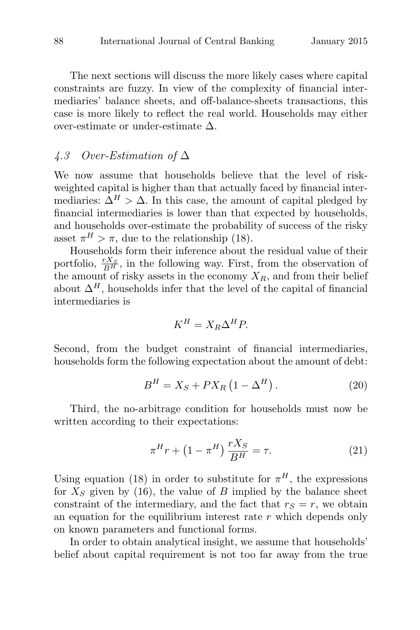The next sections will discuss the more likely cases where capital constraints are fuzzy. In view of the complexity of financial intermediaries' balance sheets, and off-balance-sheets transactions, this case is more likely to reflect the real world. Households may either over-estimate or under-estimate  $\Delta$ .

## 4.3 Over-Estimation of  $\Delta$

We now assume that households believe that the level of riskweighted capital is higher than that actually faced by financial intermediaries:  $\Delta^H > \Delta$ . In this case, the amount of capital pledged by financial intermediaries is lower than that expected by households, and households over-estimate the probability of success of the risky asset  $\pi^H > \pi$ , due to the relationship (18).

Households form their inference about the residual value of their portfolio,  $\frac{rX_S}{B^H}$ , in the following way. First, from the observation of the amount of risky assets in the economy  $X_R$ , and from their belief about  $\Delta^H$ , households infer that the level of the capital of financial intermediaries is

$$
K^H = X_R \Delta^H P.
$$

Second, from the budget constraint of financial intermediaries, households form the following expectation about the amount of debt:

$$
B^{H} = X_{S} + PX_{R} \left(1 - \Delta^{H}\right). \tag{20}
$$

Third, the no-arbitrage condition for households must now be written according to their expectations:

$$
\pi^H r + \left(1 - \pi^H\right) \frac{rX_S}{B^H} = \tau.
$$
\n<sup>(21)</sup>

Using equation (18) in order to substitute for  $\pi^{H}$ , the expressions for  $X<sub>S</sub>$  given by (16), the value of B implied by the balance sheet constraint of the intermediary, and the fact that  $r<sub>S</sub> = r$ , we obtain an equation for the equilibrium interest rate  $r$  which depends only on known parameters and functional forms.

In order to obtain analytical insight, we assume that households' belief about capital requirement is not too far away from the true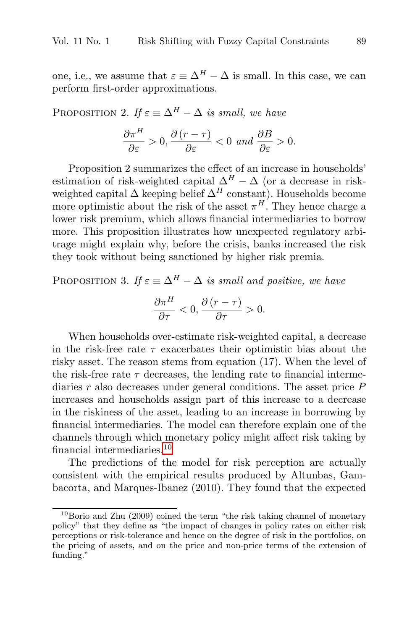one, i.e., we assume that  $\varepsilon \equiv \Delta^H - \Delta$  is small. In this case, we can perform first-order approximations.

PROPOSITION 2. If  $\varepsilon \equiv \Delta^H - \Delta$  is small, we have

$$
\frac{\partial \pi^H}{\partial \varepsilon} > 0, \frac{\partial (r - \tau)}{\partial \varepsilon} < 0 \text{ and } \frac{\partial B}{\partial \varepsilon} > 0.
$$

Proposition 2 summarizes the effect of an increase in households' estimation of risk-weighted capital  $\Delta^H - \Delta$  (or a decrease in riskweighted capital  $\Delta$  keeping belief  $\Delta^H$  constant). Households become more optimistic about the risk of the asset  $\pi^{H}$ . They hence charge a lower risk premium, which allows financial intermediaries to borrow more. This proposition illustrates how unexpected regulatory arbitrage might explain why, before the crisis, banks increased the risk they took without being sanctioned by higher risk premia.

PROPOSITION 3. If  $\varepsilon \equiv \Delta^H - \Delta$  is small and positive, we have

$$
\frac{\partial \pi^H}{\partial \tau} < 0, \frac{\partial (r - \tau)}{\partial \tau} > 0.
$$

When households over-estimate risk-weighted capital, a decrease in the risk-free rate  $\tau$  exacerbates their optimistic bias about the risky asset. The reason stems from equation (17). When the level of the risk-free rate  $\tau$  decreases, the lending rate to financial intermediaries  $r$  also decreases under general conditions. The asset price  $P$ increases and households assign part of this increase to a decrease in the riskiness of the asset, leading to an increase in borrowing by financial intermediaries. The model can therefore explain one of the channels through which monetary policy might affect risk taking by financial intermediaries.<sup>10</sup>

The predictions of the model for risk perception are actually consistent with the empirical results produced by Altunbas, Gambacorta, and Marques-Ibanez (2010). They found that the expected

 $10$ Borio and Zhu (2009) coined the term "the risk taking channel of monetary policy" that they define as "the impact of changes in policy rates on either risk perceptions or risk-tolerance and hence on the degree of risk in the portfolios, on the pricing of assets, and on the price and non-price terms of the extension of funding."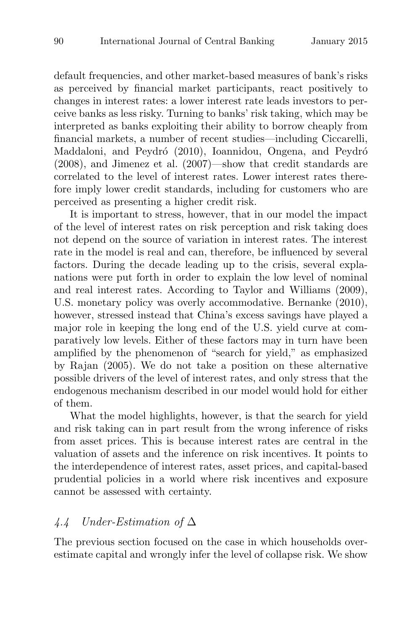default frequencies, and other market-based measures of bank's risks as perceived by financial market participants, react positively to changes in interest rates: a lower interest rate leads investors to perceive banks as less risky. Turning to banks' risk taking, which may be interpreted as banks exploiting their ability to borrow cheaply from financial markets, a number of recent studies—including Ciccarelli, Maddaloni, and Peydró (2010), Ioannidou, Ongena, and Peydró (2008), and Jimenez et al. (2007)—show that credit standards are correlated to the level of interest rates. Lower interest rates therefore imply lower credit standards, including for customers who are perceived as presenting a higher credit risk.

It is important to stress, however, that in our model the impact of the level of interest rates on risk perception and risk taking does not depend on the source of variation in interest rates. The interest rate in the model is real and can, therefore, be influenced by several factors. During the decade leading up to the crisis, several explanations were put forth in order to explain the low level of nominal and real interest rates. According to Taylor and Williams (2009), U.S. monetary policy was overly accommodative. Bernanke (2010), however, stressed instead that China's excess savings have played a major role in keeping the long end of the U.S. yield curve at comparatively low levels. Either of these factors may in turn have been amplified by the phenomenon of "search for yield," as emphasized by Rajan (2005). We do not take a position on these alternative possible drivers of the level of interest rates, and only stress that the endogenous mechanism described in our model would hold for either of them.

What the model highlights, however, is that the search for yield and risk taking can in part result from the wrong inference of risks from asset prices. This is because interest rates are central in the valuation of assets and the inference on risk incentives. It points to the interdependence of interest rates, asset prices, and capital-based prudential policies in a world where risk incentives and exposure cannot be assessed with certainty.

## 4.4 Under-Estimation of  $\Delta$

The previous section focused on the case in which households overestimate capital and wrongly infer the level of collapse risk. We show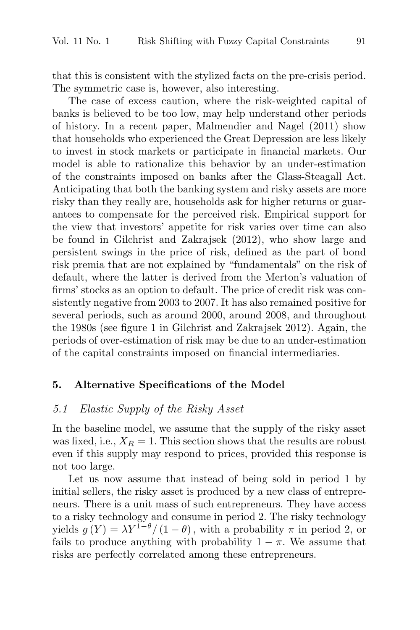that this is consistent with the stylized facts on the pre-crisis period. The symmetric case is, however, also interesting.

The case of excess caution, where the risk-weighted capital of banks is believed to be too low, may help understand other periods of history. In a recent paper, Malmendier and Nagel (2011) show that households who experienced the Great Depression are less likely to invest in stock markets or participate in financial markets. Our model is able to rationalize this behavior by an under-estimation of the constraints imposed on banks after the Glass-Steagall Act. Anticipating that both the banking system and risky assets are more risky than they really are, households ask for higher returns or guarantees to compensate for the perceived risk. Empirical support for the view that investors' appetite for risk varies over time can also be found in Gilchrist and Zakrajsek (2012), who show large and persistent swings in the price of risk, defined as the part of bond risk premia that are not explained by "fundamentals" on the risk of default, where the latter is derived from the Merton's valuation of firms' stocks as an option to default. The price of credit risk was consistently negative from 2003 to 2007. It has also remained positive for several periods, such as around 2000, around 2008, and throughout the 1980s (see figure 1 in Gilchrist and Zakrajsek 2012). Again, the periods of over-estimation of risk may be due to an under-estimation of the capital constraints imposed on financial intermediaries.

#### **5. Alternative Specifications of the Model**

## 5.1 Elastic Supply of the Risky Asset

In the baseline model, we assume that the supply of the risky asset was fixed, i.e.,  $X_R = 1$ . This section shows that the results are robust even if this supply may respond to prices, provided this response is not too large.

Let us now assume that instead of being sold in period 1 by initial sellers, the risky asset is produced by a new class of entrepreneurs. There is a unit mass of such entrepreneurs. They have access to a risky technology and consume in period 2. The risky technology yields  $g(Y) = \lambda Y^{1-\theta}/(1-\theta)$ , with a probability  $\pi$  in period 2, or fails to produce anything with probability  $1 - \pi$ . We assume that risks are perfectly correlated among these entrepreneurs.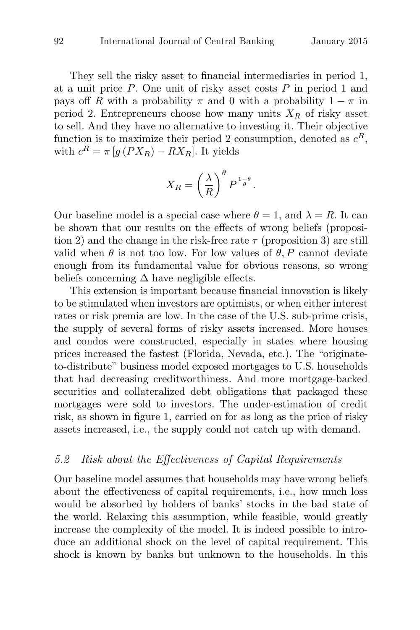They sell the risky asset to financial intermediaries in period 1, at a unit price  $P$ . One unit of risky asset costs  $P$  in period 1 and pays off R with a probability  $\pi$  and 0 with a probability  $1 - \pi$  in period 2. Entrepreneurs choose how many units  $X_R$  of risky asset to sell. And they have no alternative to investing it. Their objective function is to maximize their period 2 consumption, denoted as  $c^R$ , with  $c^R = \pi [g(PX_R) - RX_R]$ . It yields

$$
X_R = \left(\frac{\lambda}{R}\right)^{\theta} P^{\frac{1-\theta}{\theta}}.
$$

Our baseline model is a special case where  $\theta = 1$ , and  $\lambda = R$ . It can be shown that our results on the effects of wrong beliefs (proposition 2) and the change in the risk-free rate  $\tau$  (proposition 3) are still valid when  $\theta$  is not too low. For low values of  $\theta$ , P cannot deviate enough from its fundamental value for obvious reasons, so wrong beliefs concerning  $\Delta$  have negligible effects.

This extension is important because financial innovation is likely to be stimulated when investors are optimists, or when either interest rates or risk premia are low. In the case of the U.S. sub-prime crisis, the supply of several forms of risky assets increased. More houses and condos were constructed, especially in states where housing prices increased the fastest (Florida, Nevada, etc.). The "originateto-distribute" business model exposed mortgages to U.S. households that had decreasing creditworthiness. And more mortgage-backed securities and collateralized debt obligations that packaged these mortgages were sold to investors. The under-estimation of credit risk, as shown in figure 1, carried on for as long as the price of risky assets increased, i.e., the supply could not catch up with demand.

## 5.2 Risk about the Effectiveness of Capital Requirements

Our baseline model assumes that households may have wrong beliefs about the effectiveness of capital requirements, i.e., how much loss would be absorbed by holders of banks' stocks in the bad state of the world. Relaxing this assumption, while feasible, would greatly increase the complexity of the model. It is indeed possible to introduce an additional shock on the level of capital requirement. This shock is known by banks but unknown to the households. In this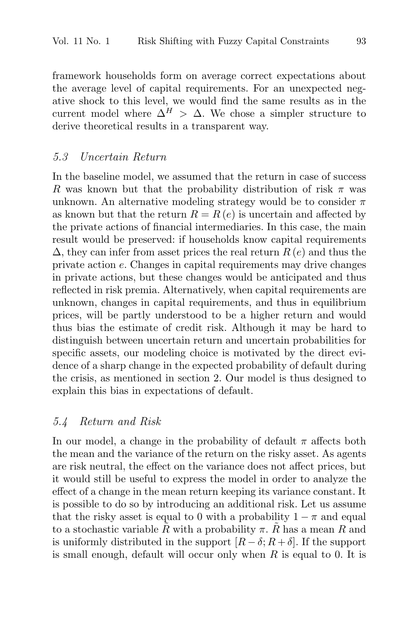framework households form on average correct expectations about the average level of capital requirements. For an unexpected negative shock to this level, we would find the same results as in the current model where  $\Delta^H > \Delta$ . We chose a simpler structure to derive theoretical results in a transparent way.

### 5.3 Uncertain Return

In the baseline model, we assumed that the return in case of success R was known but that the probability distribution of risk  $\pi$  was unknown. An alternative modeling strategy would be to consider  $\pi$ as known but that the return  $R = R(e)$  is uncertain and affected by the private actions of financial intermediaries. In this case, the main result would be preserved: if households know capital requirements  $\Delta$ , they can infer from asset prices the real return  $R(e)$  and thus the private action e. Changes in capital requirements may drive changes in private actions, but these changes would be anticipated and thus reflected in risk premia. Alternatively, when capital requirements are unknown, changes in capital requirements, and thus in equilibrium prices, will be partly understood to be a higher return and would thus bias the estimate of credit risk. Although it may be hard to distinguish between uncertain return and uncertain probabilities for specific assets, our modeling choice is motivated by the direct evidence of a sharp change in the expected probability of default during the crisis, as mentioned in section 2. Our model is thus designed to explain this bias in expectations of default.

#### 5.4 Return and Risk

In our model, a change in the probability of default  $\pi$  affects both the mean and the variance of the return on the risky asset. As agents are risk neutral, the effect on the variance does not affect prices, but it would still be useful to express the model in order to analyze the effect of a change in the mean return keeping its variance constant. It is possible to do so by introducing an additional risk. Let us assume that the risky asset is equal to 0 with a probability  $1 - \pi$  and equal to a stochastic variable R with a probability  $\pi$ . R has a mean R and is uniformly distributed in the support  $[R - \delta; R + \delta]$ . If the support is small enough, default will occur only when  $R$  is equal to 0. It is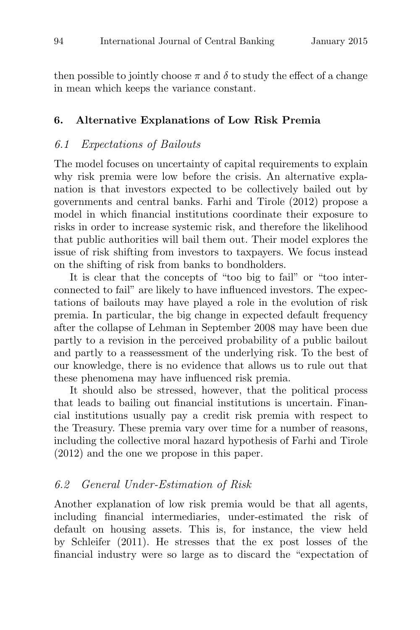then possible to jointly choose  $\pi$  and  $\delta$  to study the effect of a change in mean which keeps the variance constant.

#### **6. Alternative Explanations of Low Risk Premia**

#### 6.1 Expectations of Bailouts

The model focuses on uncertainty of capital requirements to explain why risk premia were low before the crisis. An alternative explanation is that investors expected to be collectively bailed out by governments and central banks. Farhi and Tirole (2012) propose a model in which financial institutions coordinate their exposure to risks in order to increase systemic risk, and therefore the likelihood that public authorities will bail them out. Their model explores the issue of risk shifting from investors to taxpayers. We focus instead on the shifting of risk from banks to bondholders.

It is clear that the concepts of "too big to fail" or "too interconnected to fail" are likely to have influenced investors. The expectations of bailouts may have played a role in the evolution of risk premia. In particular, the big change in expected default frequency after the collapse of Lehman in September 2008 may have been due partly to a revision in the perceived probability of a public bailout and partly to a reassessment of the underlying risk. To the best of our knowledge, there is no evidence that allows us to rule out that these phenomena may have influenced risk premia.

It should also be stressed, however, that the political process that leads to bailing out financial institutions is uncertain. Financial institutions usually pay a credit risk premia with respect to the Treasury. These premia vary over time for a number of reasons, including the collective moral hazard hypothesis of Farhi and Tirole (2012) and the one we propose in this paper.

#### 6.2 General Under-Estimation of Risk

Another explanation of low risk premia would be that all agents, including financial intermediaries, under-estimated the risk of default on housing assets. This is, for instance, the view held by Schleifer (2011). He stresses that the ex post losses of the financial industry were so large as to discard the "expectation of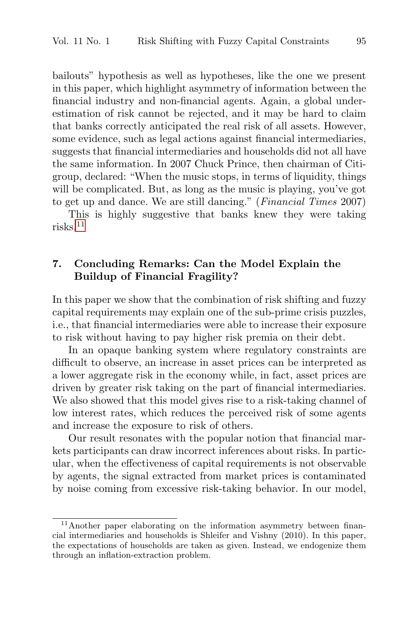bailouts" hypothesis as well as hypotheses, like the one we present in this paper, which highlight asymmetry of information between the financial industry and non-financial agents. Again, a global underestimation of risk cannot be rejected, and it may be hard to claim that banks correctly anticipated the real risk of all assets. However, some evidence, such as legal actions against financial intermediaries, suggests that financial intermediaries and households did not all have the same information. In 2007 Chuck Prince, then chairman of Citigroup, declared: "When the music stops, in terms of liquidity, things will be complicated. But, as long as the music is playing, you've got to get up and dance. We are still dancing." (Financial Times 2007)

This is highly suggestive that banks knew they were taking risks.<sup>11</sup>

## **7. Concluding Remarks: Can the Model Explain the Buildup of Financial Fragility?**

In this paper we show that the combination of risk shifting and fuzzy capital requirements may explain one of the sub-prime crisis puzzles, i.e., that financial intermediaries were able to increase their exposure to risk without having to pay higher risk premia on their debt.

In an opaque banking system where regulatory constraints are difficult to observe, an increase in asset prices can be interpreted as a lower aggregate risk in the economy while, in fact, asset prices are driven by greater risk taking on the part of financial intermediaries. We also showed that this model gives rise to a risk-taking channel of low interest rates, which reduces the perceived risk of some agents and increase the exposure to risk of others.

Our result resonates with the popular notion that financial markets participants can draw incorrect inferences about risks. In particular, when the effectiveness of capital requirements is not observable by agents, the signal extracted from market prices is contaminated by noise coming from excessive risk-taking behavior. In our model,

<sup>&</sup>lt;sup>11</sup>Another paper elaborating on the information asymmetry between financial intermediaries and households is Shleifer and Vishny (2010). In this paper, the expectations of households are taken as given. Instead, we endogenize them through an inflation-extraction problem.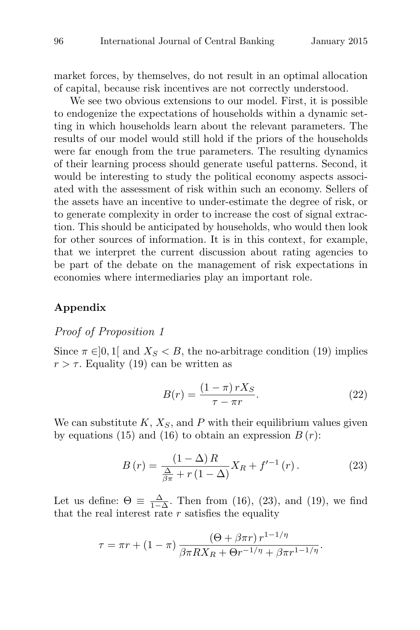market forces, by themselves, do not result in an optimal allocation of capital, because risk incentives are not correctly understood.

We see two obvious extensions to our model. First, it is possible to endogenize the expectations of households within a dynamic setting in which households learn about the relevant parameters. The results of our model would still hold if the priors of the households were far enough from the true parameters. The resulting dynamics of their learning process should generate useful patterns. Second, it would be interesting to study the political economy aspects associated with the assessment of risk within such an economy. Sellers of the assets have an incentive to under-estimate the degree of risk, or to generate complexity in order to increase the cost of signal extraction. This should be anticipated by households, who would then look for other sources of information. It is in this context, for example, that we interpret the current discussion about rating agencies to be part of the debate on the management of risk expectations in economies where intermediaries play an important role.

#### **Appendix**

## Proof of Proposition 1

Since  $\pi \in ]0,1]$  and  $X_S < B$ , the no-arbitrage condition (19) implies  $r > \tau$ . Equality (19) can be written as

$$
B(r) = \frac{(1 - \pi) r X_S}{\tau - \pi r}.
$$
\n
$$
(22)
$$

We can substitute  $K, X_S$ , and P with their equilibrium values given by equations (15) and (16) to obtain an expression  $B(r)$ :

$$
B(r) = \frac{(1 - \Delta)R}{\frac{\Delta}{\beta \pi} + r(1 - \Delta)} X_R + f'^{-1}(r).
$$
 (23)

Let us define:  $\Theta = \frac{\Delta}{1-\Delta}$ . Then from (16), (23), and (19), we find that the real interest rate  $r$  satisfies the equality

$$
\tau = \pi r + (1 - \pi) \frac{(\Theta + \beta \pi r) r^{1 - 1/\eta}}{\beta \pi R X_R + \Theta r^{-1/\eta} + \beta \pi r^{1 - 1/\eta}}.
$$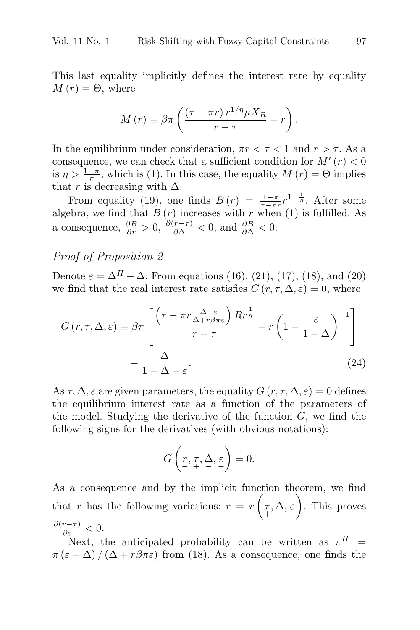This last equality implicitly defines the interest rate by equality  $M(r) = \Theta$ , where

$$
M(r) \equiv \beta \pi \left( \frac{(\tau - \pi r) r^{1/\eta} \mu X_R}{r - \tau} - r \right).
$$

In the equilibrium under consideration,  $\pi r < \tau < 1$  and  $r > \tau$ . As a consequence, we can check that a sufficient condition for  $M'(r) < 0$ is  $\eta > \frac{1-\pi}{\pi}$ , which is (1). In this case, the equality  $M(r) = \Theta$  implies that r is decreasing with  $\Delta$ .

From equality (19), one finds  $B(r) = \frac{1-\pi}{\tau-r} r^{1-\frac{1}{\tau}}$ . After some algebra, we find that  $B(r)$  increases with r when (1) is fulfilled. As a consequence,  $\frac{\partial B}{\partial r} > 0$ ,  $\frac{\partial (r-\tau)}{\partial \Delta} < 0$ , and  $\frac{\partial B}{\partial \Delta} < 0$ .

## Proof of Proposition 2

Denote  $\varepsilon = \Delta^H - \Delta$ . From equations (16), (21), (17), (18), and (20) we find that the real interest rate satisfies  $G(r, \tau, \Delta, \varepsilon) = 0$ , where

$$
G(r, \tau, \Delta, \varepsilon) \equiv \beta \pi \left[ \frac{\left(\tau - \pi r \frac{\Delta + \varepsilon}{\Delta + r \beta \pi \varepsilon}\right) R r^{\frac{1}{\eta}}}{r - \tau} - r \left(1 - \frac{\varepsilon}{1 - \Delta}\right)^{-1} \right] - \frac{\Delta}{1 - \Delta - \varepsilon}.
$$
\n(24)

As  $\tau$ ,  $\Delta$ ,  $\varepsilon$  are given parameters, the equality  $G(r, \tau, \Delta, \varepsilon) = 0$  defines the equilibrium interest rate as a function of the parameters of the model. Studying the derivative of the function  $G$ , we find the following signs for the derivatives (with obvious notations):

$$
G\left(\underset{\scriptscriptstyle{-}}{r},\underset{\scriptscriptstyle{+}}{\tau},\underline{\Delta},\underset{\scriptscriptstyle{-}}{\varepsilon}\right)=0.
$$

As a consequence and by the implicit function theorem, we find that r has the following variations:  $r = r \left( \tau, \Delta, \varepsilon \atop{+} \right)$  . This proves  $\frac{\partial (r-\tau)}{\partial \varepsilon} < 0.$ 

Next, the anticipated probability can be written as  $\pi^H$  =  $\pi(\varepsilon + \Delta)/(\Delta + r\beta\pi\varepsilon)$  from (18). As a consequence, one finds the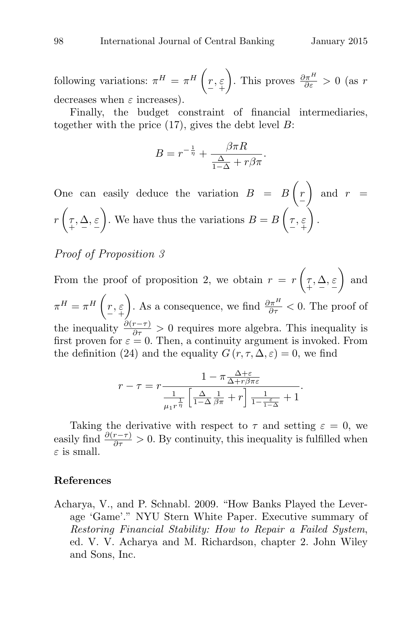following variations:  $\pi^H = \pi^H \left( \underset{\text{-}}{r}, \underset{\text{+}}{\varepsilon} \right)$ ). This proves  $\frac{\partial \pi^H}{\partial \varepsilon} > 0$  (as r decreases when  $\varepsilon$  increases).

Finally, the budget constraint of financial intermediaries, together with the price  $(17)$ , gives the debt level B:

$$
B = r^{-\frac{1}{\eta}} + \frac{\beta \pi R}{\frac{\Delta}{1 - \Delta} + r\beta \pi}.
$$

One can easily deduce the variation  $B = B(r)$ − ) and  $r =$  $r\left(\tau,\Delta,\varepsilon\atop{+} \right)$ ). We have thus the variations  $B = B\left(\underset{\sim}{\tau},\underset{\sim}{\varepsilon}\right)$  $\big)$  .

## Proof of Proposition 3

From the proof of proposition 2, we obtain  $r = r \left( \tau, \Delta, \varepsilon \right)$  $\Big)$  and  $\pi^H = \pi^H \left( \begin{matrix} r, \varepsilon \ - \end{matrix} \right)$ ). As a consequence, we find  $\frac{\partial \pi^H}{\partial \tau} < 0$ . The proof of the inequality  $\frac{\partial (r-\tau)}{\partial \tau} > 0$  requires more algebra. This inequality is first proven for  $\varepsilon = 0$ . Then, a continuity argument is invoked. From the definition (24) and the equality  $G(r, \tau, \Delta, \varepsilon) = 0$ , we find

$$
r - \tau = r \frac{1 - \pi \frac{\Delta + \varepsilon}{\Delta + r \beta \pi \varepsilon}}{\frac{1}{\mu_1 r^{\frac{1}{\eta}}} \left[ \frac{\Delta}{1 - \Delta} \frac{1}{\beta \pi} + r \right] \frac{1}{1 - \frac{\varepsilon}{1 - \Delta}} + 1}.
$$

Taking the derivative with respect to  $\tau$  and setting  $\varepsilon = 0$ , we easily find  $\frac{\partial (r-\tau)}{\partial \tau} > 0$ . By continuity, this inequality is fulfilled when  $\varepsilon$  is small.

#### **References**

Acharya, V., and P. Schnabl. 2009. "How Banks Played the Leverage 'Game'." NYU Stern White Paper. Executive summary of Restoring Financial Stability: How to Repair a Failed System, ed. V. V. Acharya and M. Richardson, chapter 2. John Wiley and Sons, Inc.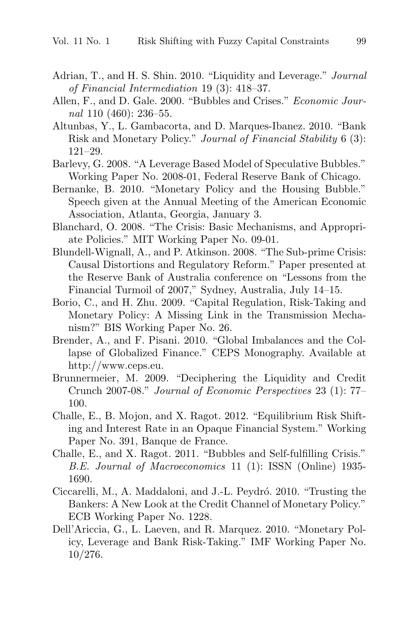- Adrian, T., and H. S. Shin. 2010. "Liquidity and Leverage." Journal of Financial Intermediation 19 (3): 418–37.
- Allen, F., and D. Gale. 2000. "Bubbles and Crises." Economic Journal 110 (460): 236–55.
- Altunbas, Y., L. Gambacorta, and D. Marques-Ibanez. 2010. "Bank Risk and Monetary Policy." Journal of Financial Stability 6 (3): 121–29.
- Barlevy, G. 2008. "A Leverage Based Model of Speculative Bubbles." Working Paper No. 2008-01, Federal Reserve Bank of Chicago.
- Bernanke, B. 2010. "Monetary Policy and the Housing Bubble." Speech given at the Annual Meeting of the American Economic Association, Atlanta, Georgia, January 3.
- Blanchard, O. 2008. "The Crisis: Basic Mechanisms, and Appropriate Policies." MIT Working Paper No. 09-01.
- Blundell-Wignall, A., and P. Atkinson. 2008. "The Sub-prime Crisis: Causal Distortions and Regulatory Reform." Paper presented at the Reserve Bank of Australia conference on "Lessons from the Financial Turmoil of 2007," Sydney, Australia, July 14–15.
- Borio, C., and H. Zhu. 2009. "Capital Regulation, Risk-Taking and Monetary Policy: A Missing Link in the Transmission Mechanism?" BIS Working Paper No. 26.
- Brender, A., and F. Pisani. 2010. "Global Imbalances and the Collapse of Globalized Finance." CEPS Monography. Available at http://www.ceps.eu.
- Brunnermeier, M. 2009. "Deciphering the Liquidity and Credit Crunch 2007-08." Journal of Economic Perspectives 23 (1): 77– 100.
- Challe, E., B. Mojon, and X. Ragot. 2012. "Equilibrium Risk Shifting and Interest Rate in an Opaque Financial System." Working Paper No. 391, Banque de France.
- Challe, E., and X. Ragot. 2011. "Bubbles and Self-fulfilling Crisis." B.E. Journal of Macroeconomics 11 (1): ISSN (Online) 1935- 1690.
- Ciccarelli, M., A. Maddaloni, and J.-L. Peydró. 2010. "Trusting the Bankers: A New Look at the Credit Channel of Monetary Policy." ECB Working Paper No. 1228.
- Dell'Ariccia, G., L. Laeven, and R. Marquez. 2010. "Monetary Policy, Leverage and Bank Risk-Taking." IMF Working Paper No. 10/276.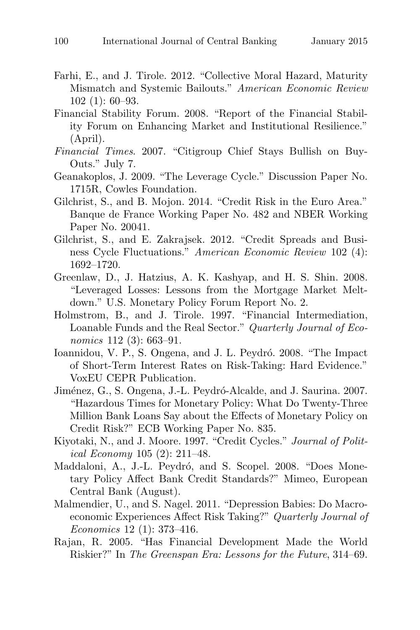- Farhi, E., and J. Tirole. 2012. "Collective Moral Hazard, Maturity Mismatch and Systemic Bailouts." American Economic Review 102 (1): 60–93.
- Financial Stability Forum. 2008. "Report of the Financial Stability Forum on Enhancing Market and Institutional Resilience." (April).
- Financial Times. 2007. "Citigroup Chief Stays Bullish on Buy-Outs." July 7.
- Geanakoplos, J. 2009. "The Leverage Cycle." Discussion Paper No. 1715R, Cowles Foundation.
- Gilchrist, S., and B. Mojon. 2014. "Credit Risk in the Euro Area." Banque de France Working Paper No. 482 and NBER Working Paper No. 20041.
- Gilchrist, S., and E. Zakrajsek. 2012. "Credit Spreads and Business Cycle Fluctuations." American Economic Review 102 (4): 1692–1720.
- Greenlaw, D., J. Hatzius, A. K. Kashyap, and H. S. Shin. 2008. "Leveraged Losses: Lessons from the Mortgage Market Meltdown." U.S. Monetary Policy Forum Report No. 2.
- Holmstrom, B., and J. Tirole. 1997. "Financial Intermediation, Loanable Funds and the Real Sector." Quarterly Journal of Economics 112 (3): 663-91.
- Ioannidou, V. P., S. Ongena, and J. L. Peydró. 2008. "The Impact of Short-Term Interest Rates on Risk-Taking: Hard Evidence." VoxEU CEPR Publication.
- Jiménez, G., S. Ongena, J.-L. Peydró-Alcalde, and J. Saurina. 2007. "Hazardous Times for Monetary Policy: What Do Twenty-Three Million Bank Loans Say about the Effects of Monetary Policy on Credit Risk?" ECB Working Paper No. 835.
- Kiyotaki, N., and J. Moore. 1997. "Credit Cycles." Journal of Political Economy 105 (2): 211–48.
- Maddaloni, A., J.-L. Peydró, and S. Scopel. 2008. "Does Monetary Policy Affect Bank Credit Standards?" Mimeo, European Central Bank (August).
- Malmendier, U., and S. Nagel. 2011. "Depression Babies: Do Macroeconomic Experiences Affect Risk Taking?" Quarterly Journal of Economics 12 (1): 373–416.
- Rajan, R. 2005. "Has Financial Development Made the World Riskier?" In The Greenspan Era: Lessons for the Future, 314–69.